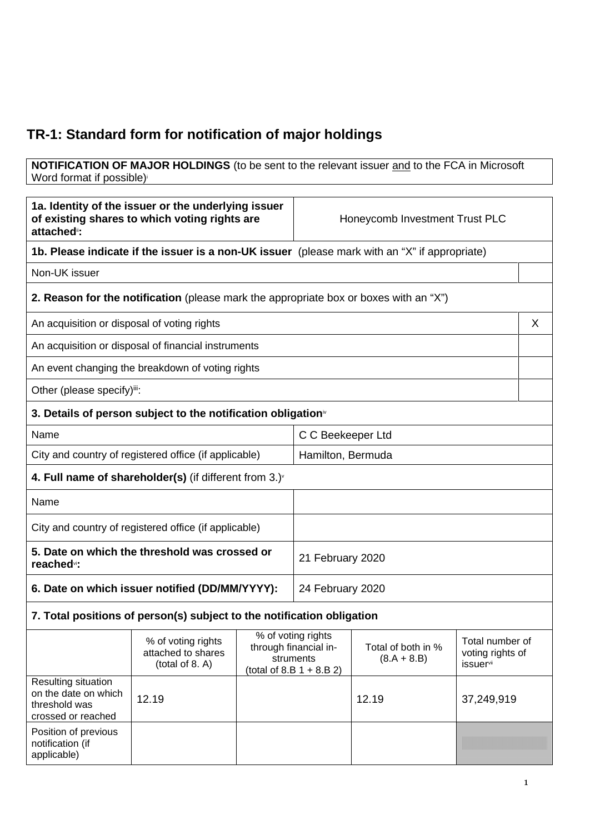## **TR-1: Standard form for notification of major holdings**

**NOTIFICATION OF MAJOR HOLDINGS** (to be sent to the relevant issuer and to the FCA in Microsoft Word format if possible)

| 1a. Identity of the issuer or the underlying issuer<br>of existing shares to which voting rights are<br>attached <sup>®</sup> : |                                                                                                                                                                                                            |  | Honeycomb Investment Trust PLC      |       |            |   |
|---------------------------------------------------------------------------------------------------------------------------------|------------------------------------------------------------------------------------------------------------------------------------------------------------------------------------------------------------|--|-------------------------------------|-------|------------|---|
|                                                                                                                                 | 1b. Please indicate if the issuer is a non-UK issuer (please mark with an "X" if appropriate)                                                                                                              |  |                                     |       |            |   |
| Non-UK issuer                                                                                                                   |                                                                                                                                                                                                            |  |                                     |       |            |   |
|                                                                                                                                 | <b>2. Reason for the notification</b> (please mark the appropriate box or boxes with an "X")                                                                                                               |  |                                     |       |            |   |
| An acquisition or disposal of voting rights                                                                                     |                                                                                                                                                                                                            |  |                                     |       |            | X |
|                                                                                                                                 | An acquisition or disposal of financial instruments                                                                                                                                                        |  |                                     |       |            |   |
|                                                                                                                                 | An event changing the breakdown of voting rights                                                                                                                                                           |  |                                     |       |            |   |
| Other (please specify)iii:                                                                                                      |                                                                                                                                                                                                            |  |                                     |       |            |   |
|                                                                                                                                 | 3. Details of person subject to the notification obligation <sup>®</sup>                                                                                                                                   |  |                                     |       |            |   |
| Name                                                                                                                            |                                                                                                                                                                                                            |  | C C Beekeeper Ltd                   |       |            |   |
|                                                                                                                                 | City and country of registered office (if applicable)                                                                                                                                                      |  | Hamilton, Bermuda                   |       |            |   |
|                                                                                                                                 | 4. Full name of shareholder(s) (if different from $3.$ ) $\sqrt{ }$                                                                                                                                        |  |                                     |       |            |   |
| Name                                                                                                                            |                                                                                                                                                                                                            |  |                                     |       |            |   |
| City and country of registered office (if applicable)                                                                           |                                                                                                                                                                                                            |  |                                     |       |            |   |
| 5. Date on which the threshold was crossed or<br>reached <sup>vi</sup> :                                                        |                                                                                                                                                                                                            |  | 21 February 2020                    |       |            |   |
| 6. Date on which issuer notified (DD/MM/YYYY):                                                                                  |                                                                                                                                                                                                            |  | 24 February 2020                    |       |            |   |
|                                                                                                                                 | 7. Total positions of person(s) subject to the notification obligation                                                                                                                                     |  |                                     |       |            |   |
|                                                                                                                                 | % of voting rights<br>% of voting rights<br>through financial in-<br>Total of both in %<br>attached to shares<br>struments<br>$(8.A + 8.B)$<br>(total of 8. A)<br>issuervii<br>(total of 8.B $1 + 8.B 2$ ) |  | Total number of<br>voting rights of |       |            |   |
| Resulting situation<br>on the date on which<br>threshold was<br>crossed or reached                                              | 12.19                                                                                                                                                                                                      |  |                                     | 12.19 | 37,249,919 |   |
| Position of previous<br>notification (if<br>applicable)                                                                         |                                                                                                                                                                                                            |  |                                     |       |            |   |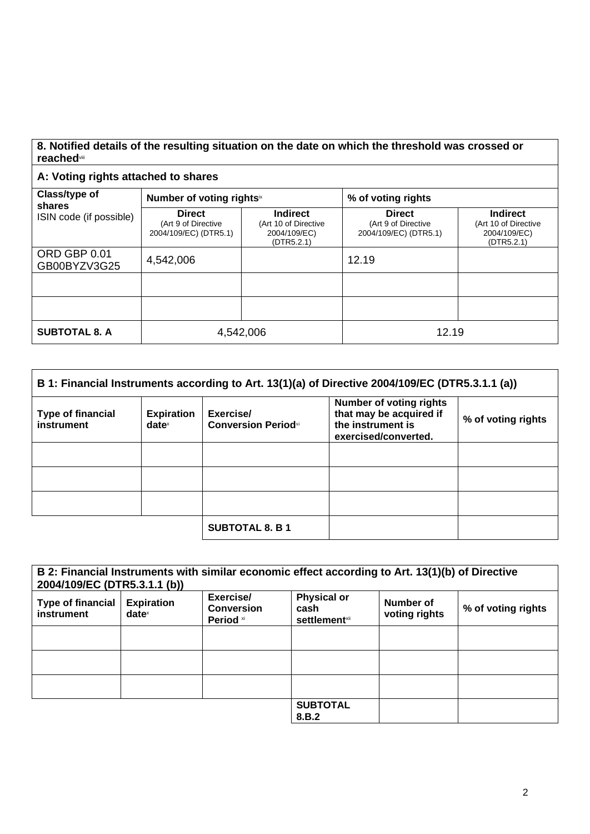## **8. Notified details of the resulting situation on the date on which the threshold was crossed or reached**viii

## **A: Voting rights attached to shares**

| Class/type of<br>shares<br>ISIN code (if possible) | Number of voting rightsix                                     |                                                                       | % of voting rights                                            |                                                                |
|----------------------------------------------------|---------------------------------------------------------------|-----------------------------------------------------------------------|---------------------------------------------------------------|----------------------------------------------------------------|
|                                                    | <b>Direct</b><br>(Art 9 of Directive<br>2004/109/EC) (DTR5.1) | <b>Indirect</b><br>(Art 10 of Directive<br>2004/109/EC)<br>(DTR5.2.1) | <b>Direct</b><br>(Art 9 of Directive<br>2004/109/EC) (DTR5.1) | Indirect<br>(Art 10 of Directive<br>2004/109/EC)<br>(DTR5.2.1) |
| ORD GBP 0.01<br>GB00BYZV3G25                       | 4,542,006                                                     |                                                                       | 12.19                                                         |                                                                |
|                                                    |                                                               |                                                                       |                                                               |                                                                |
|                                                    |                                                               |                                                                       |                                                               |                                                                |
| <b>SUBTOTAL 8. A</b>                               | 4,542,006                                                     |                                                                       | 12.19                                                         |                                                                |

| B 1: Financial Instruments according to Art. 13(1)(a) of Directive 2004/109/EC (DTR5.3.1.1 (a)) |                                      |                                          |                                                                                                        |                    |
|-------------------------------------------------------------------------------------------------|--------------------------------------|------------------------------------------|--------------------------------------------------------------------------------------------------------|--------------------|
| <b>Type of financial</b><br>instrument                                                          | <b>Expiration</b><br>$date^{\times}$ | Exercise/<br><b>Conversion Period</b> xi | <b>Number of voting rights</b><br>that may be acquired if<br>the instrument is<br>exercised/converted. | % of voting rights |
|                                                                                                 |                                      |                                          |                                                                                                        |                    |
|                                                                                                 |                                      |                                          |                                                                                                        |                    |
|                                                                                                 |                                      |                                          |                                                                                                        |                    |
|                                                                                                 |                                      | <b>SUBTOTAL 8. B 1</b>                   |                                                                                                        |                    |

| B 2: Financial Instruments with similar economic effect according to Art. 13(1)(b) of Directive<br>2004/109/EC (DTR5.3.1.1 (b)) |                               |                                             |                                                                |                            |                    |
|---------------------------------------------------------------------------------------------------------------------------------|-------------------------------|---------------------------------------------|----------------------------------------------------------------|----------------------------|--------------------|
| <b>Type of financial</b><br>instrument                                                                                          | <b>Expiration</b><br>$date^x$ | Exercise/<br><b>Conversion</b><br>Period xi | <b>Physical or</b><br>cash<br><b>settlement</b> <sup>xii</sup> | Number of<br>voting rights | % of voting rights |
|                                                                                                                                 |                               |                                             |                                                                |                            |                    |
|                                                                                                                                 |                               |                                             |                                                                |                            |                    |
|                                                                                                                                 |                               |                                             |                                                                |                            |                    |
|                                                                                                                                 |                               |                                             | <b>SUBTOTAL</b><br>8.B.2                                       |                            |                    |